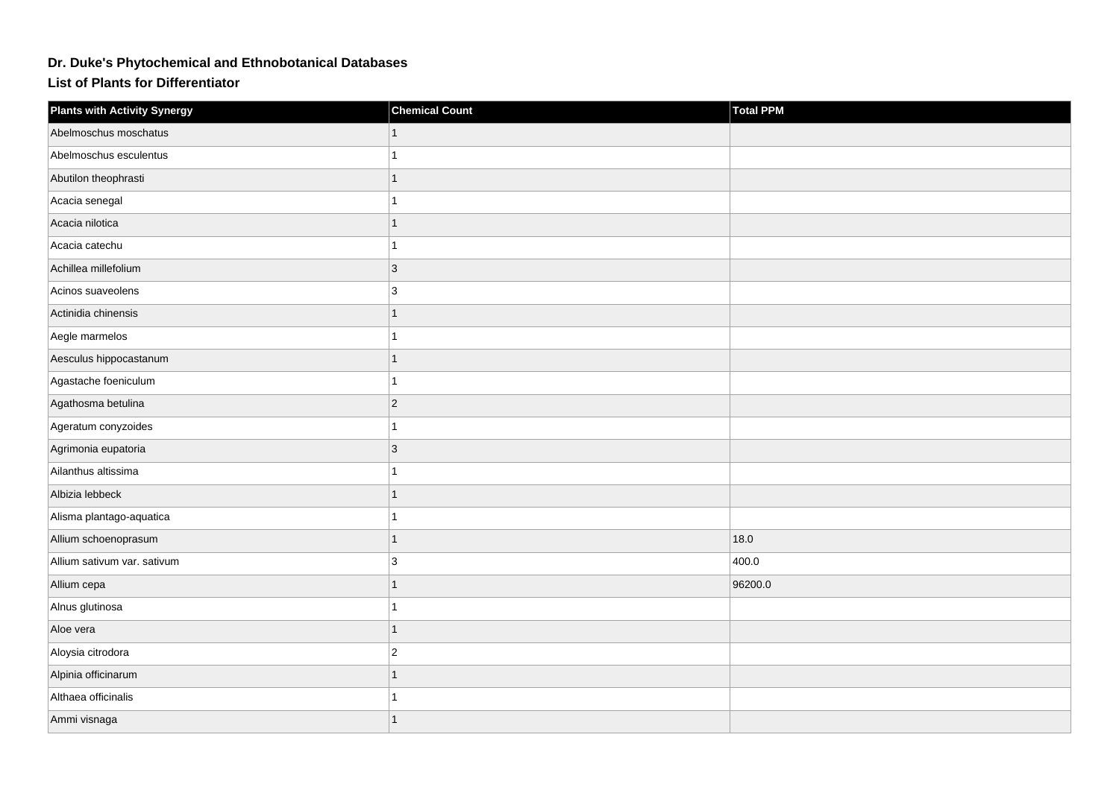## **Dr. Duke's Phytochemical and Ethnobotanical Databases**

**List of Plants for Differentiator**

| <b>Plants with Activity Synergy</b> | <b>Chemical Count</b> | Total PPM |
|-------------------------------------|-----------------------|-----------|
| Abelmoschus moschatus               |                       |           |
| Abelmoschus esculentus              | 1                     |           |
| Abutilon theophrasti                | $\mathbf{1}$          |           |
| Acacia senegal                      | 1                     |           |
| Acacia nilotica                     | $\overline{1}$        |           |
| Acacia catechu                      | 1                     |           |
| Achillea millefolium                | 3                     |           |
| Acinos suaveolens                   | 3                     |           |
| Actinidia chinensis                 | $\mathbf{1}$          |           |
| Aegle marmelos                      | $\mathbf{1}$          |           |
| Aesculus hippocastanum              | $\mathbf{1}$          |           |
| Agastache foeniculum                | 1                     |           |
| Agathosma betulina                  | $ 2\rangle$           |           |
| Ageratum conyzoides                 | 1                     |           |
| Agrimonia eupatoria                 | 3                     |           |
| Ailanthus altissima                 | $\overline{1}$        |           |
| Albizia lebbeck                     | $\mathbf{1}$          |           |
| Alisma plantago-aquatica            | 1                     |           |
| Allium schoenoprasum                | 1                     | 18.0      |
| Allium sativum var. sativum         | 3                     | 400.0     |
| Allium cepa                         | $\mathbf{1}$          | 96200.0   |
| Alnus glutinosa                     | 1                     |           |
| Aloe vera                           | $\mathbf{1}$          |           |
| Aloysia citrodora                   | $\overline{2}$        |           |
| Alpinia officinarum                 | $\mathbf{1}$          |           |
| Althaea officinalis                 | 1                     |           |
| Ammi visnaga                        |                       |           |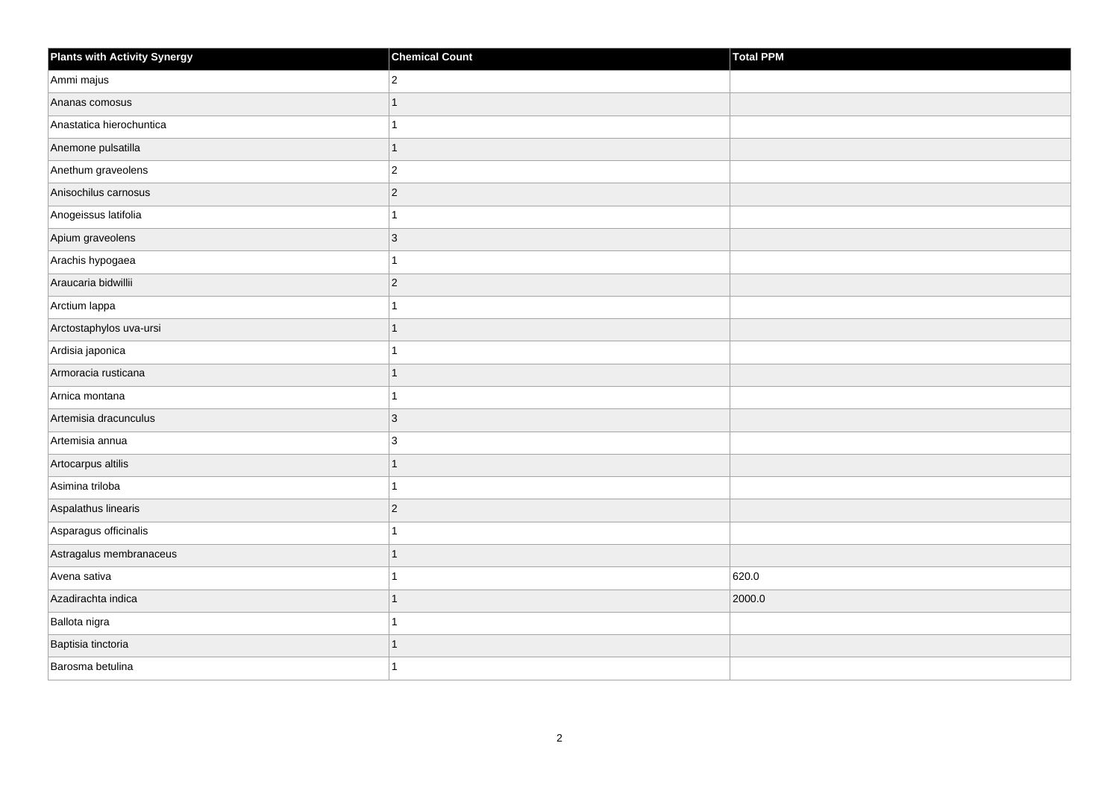| <b>Plants with Activity Synergy</b> | <b>Chemical Count</b> | Total PPM |
|-------------------------------------|-----------------------|-----------|
| Ammi majus                          | $\overline{c}$        |           |
| Ananas comosus                      | 1                     |           |
| Anastatica hierochuntica            |                       |           |
| Anemone pulsatilla                  | $\overline{1}$        |           |
| Anethum graveolens                  | $\overline{2}$        |           |
| Anisochilus carnosus                | $\overline{2}$        |           |
| Anogeissus latifolia                | 1                     |           |
| Apium graveolens                    | 3                     |           |
| Arachis hypogaea                    |                       |           |
| Araucaria bidwillii                 | $\overline{2}$        |           |
| Arctium lappa                       |                       |           |
| Arctostaphylos uva-ursi             |                       |           |
| Ardisia japonica                    | 1                     |           |
| Armoracia rusticana                 | 1                     |           |
| Arnica montana                      |                       |           |
| Artemisia dracunculus               | 3                     |           |
| Artemisia annua                     | 3                     |           |
| Artocarpus altilis                  | 1                     |           |
| Asimina triloba                     |                       |           |
| Aspalathus linearis                 | $\overline{2}$        |           |
| Asparagus officinalis               |                       |           |
| Astragalus membranaceus             |                       |           |
| Avena sativa                        |                       | 620.0     |
| Azadirachta indica                  |                       | 2000.0    |
| Ballota nigra                       |                       |           |
| Baptisia tinctoria                  |                       |           |
| Barosma betulina                    |                       |           |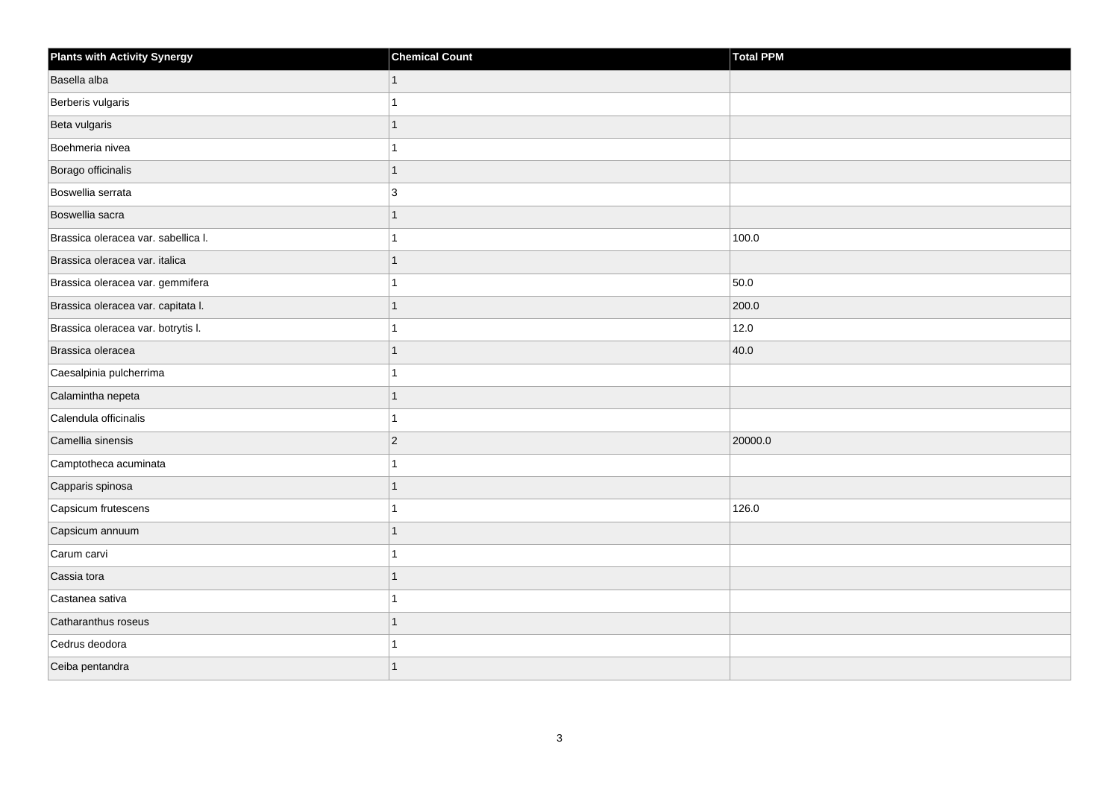| <b>Plants with Activity Synergy</b> | <b>Chemical Count</b> | Total PPM |
|-------------------------------------|-----------------------|-----------|
| Basella alba                        | $\mathbf{1}$          |           |
| Berberis vulgaris                   | 1                     |           |
| Beta vulgaris                       | 1                     |           |
| Boehmeria nivea                     | 1                     |           |
| Borago officinalis                  | $\mathbf{1}$          |           |
| Boswellia serrata                   | 3                     |           |
| Boswellia sacra                     | $\mathbf{1}$          |           |
| Brassica oleracea var. sabellica I. | 1                     | 100.0     |
| Brassica oleracea var. italica      | $\mathbf{1}$          |           |
| Brassica oleracea var. gemmifera    | 1                     | 50.0      |
| Brassica oleracea var. capitata I.  | 1                     | 200.0     |
| Brassica oleracea var. botrytis I.  | 1                     | 12.0      |
| Brassica oleracea                   | 1                     | 40.0      |
| Caesalpinia pulcherrima             | 1                     |           |
| Calamintha nepeta                   | $\overline{1}$        |           |
| Calendula officinalis               | 1                     |           |
| Camellia sinensis                   | $ 2\rangle$           | 20000.0   |
| Camptotheca acuminata               | 1                     |           |
| Capparis spinosa                    | $\mathbf{1}$          |           |
| Capsicum frutescens                 | 1                     | 126.0     |
| Capsicum annuum                     | $\overline{1}$        |           |
| Carum carvi                         | 1                     |           |
| Cassia tora                         | 1                     |           |
| Castanea sativa                     | 1                     |           |
| Catharanthus roseus                 | 1                     |           |
| Cedrus deodora                      | 1                     |           |
| Ceiba pentandra                     | 1                     |           |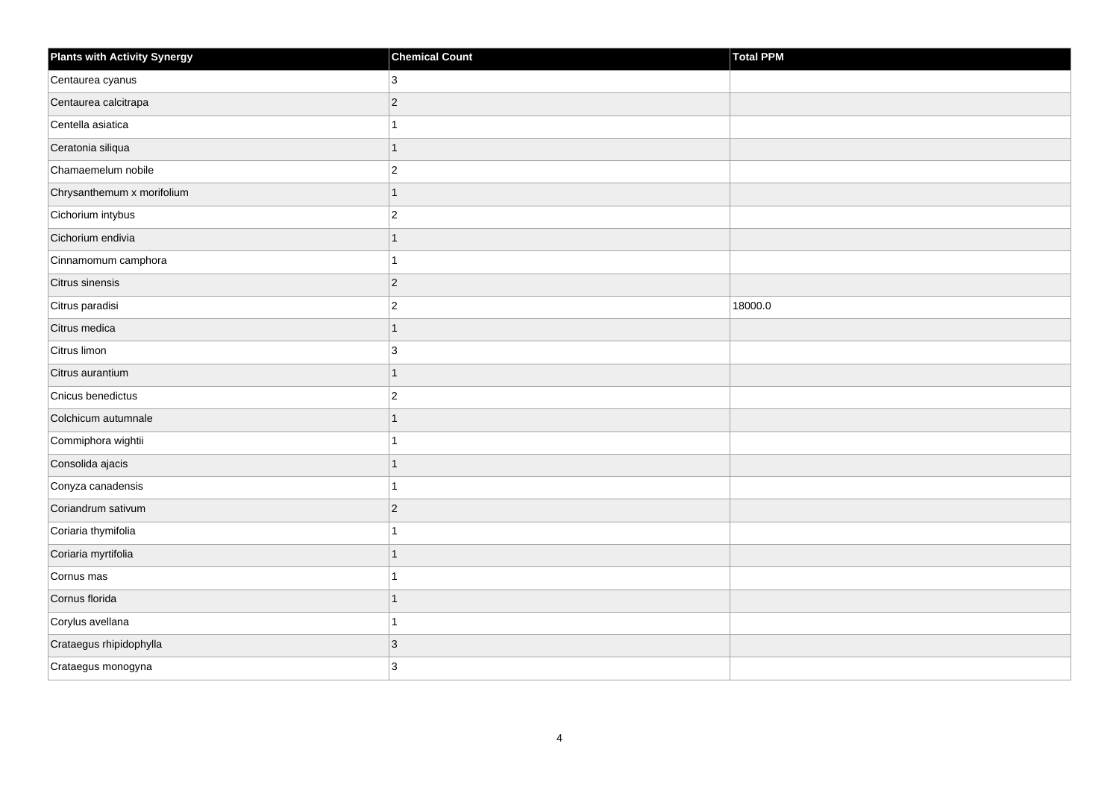| <b>Plants with Activity Synergy</b> | <b>Chemical Count</b> | Total PPM |
|-------------------------------------|-----------------------|-----------|
| Centaurea cyanus                    | 3                     |           |
| Centaurea calcitrapa                | $\overline{2}$        |           |
| Centella asiatica                   |                       |           |
| Ceratonia siliqua                   | $\overline{1}$        |           |
| Chamaemelum nobile                  | $\overline{2}$        |           |
| Chrysanthemum x morifolium          | 1                     |           |
| Cichorium intybus                   | $\overline{c}$        |           |
| Cichorium endivia                   | 1                     |           |
| Cinnamomum camphora                 |                       |           |
| Citrus sinensis                     | $\overline{2}$        |           |
| Citrus paradisi                     | $\overline{2}$        | 18000.0   |
| Citrus medica                       | 1                     |           |
| Citrus limon                        | $\mathbf{3}$          |           |
| Citrus aurantium                    | 1                     |           |
| Cnicus benedictus                   | $\overline{2}$        |           |
| Colchicum autumnale                 | 1                     |           |
| Commiphora wightii                  |                       |           |
| Consolida ajacis                    |                       |           |
| Conyza canadensis                   | 1                     |           |
| Coriandrum sativum                  | $\overline{2}$        |           |
| Coriaria thymifolia                 |                       |           |
| Coriaria myrtifolia                 | 1                     |           |
| Cornus mas                          |                       |           |
| Cornus florida                      |                       |           |
| Corylus avellana                    | 1                     |           |
| Crataegus rhipidophylla             | 3                     |           |
| Crataegus monogyna                  | 3                     |           |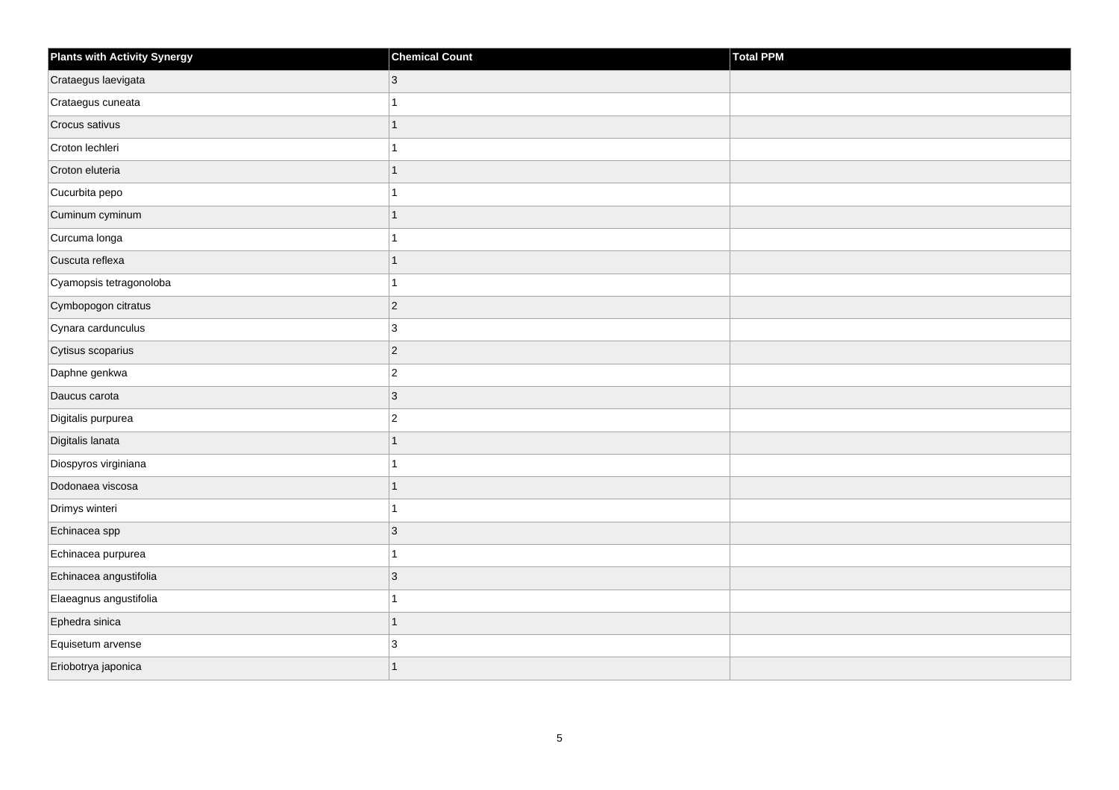| <b>Plants with Activity Synergy</b> | <b>Chemical Count</b> | Total PPM |
|-------------------------------------|-----------------------|-----------|
| Crataegus laevigata                 | $\mathbf{3}$          |           |
| Crataegus cuneata                   | 1                     |           |
| Crocus sativus                      | $\overline{1}$        |           |
| Croton lechleri                     | 1                     |           |
| Croton eluteria                     | $\overline{1}$        |           |
| Cucurbita pepo                      | 1                     |           |
| Cuminum cyminum                     | $\overline{1}$        |           |
| Curcuma longa                       | 1                     |           |
| Cuscuta reflexa                     | $\overline{1}$        |           |
| Cyamopsis tetragonoloba             | 1                     |           |
| Cymbopogon citratus                 | $\overline{c}$        |           |
| Cynara cardunculus                  | 3                     |           |
| Cytisus scoparius                   | $\overline{c}$        |           |
| Daphne genkwa                       | $\overline{2}$        |           |
| Daucus carota                       | $\mathbf{3}$          |           |
| Digitalis purpurea                  | $\mathbf 2$           |           |
| Digitalis lanata                    | $\overline{1}$        |           |
| Diospyros virginiana                | 1                     |           |
| Dodonaea viscosa                    | $\mathbf{1}$          |           |
| Drimys winteri                      | 1                     |           |
| Echinacea spp                       | $\mathbf{3}$          |           |
| Echinacea purpurea                  | $\overline{1}$        |           |
| Echinacea angustifolia              | 3                     |           |
| Elaeagnus angustifolia              | 1                     |           |
| Ephedra sinica                      | $\overline{1}$        |           |
| Equisetum arvense                   | 3                     |           |
| Eriobotrya japonica                 | 1                     |           |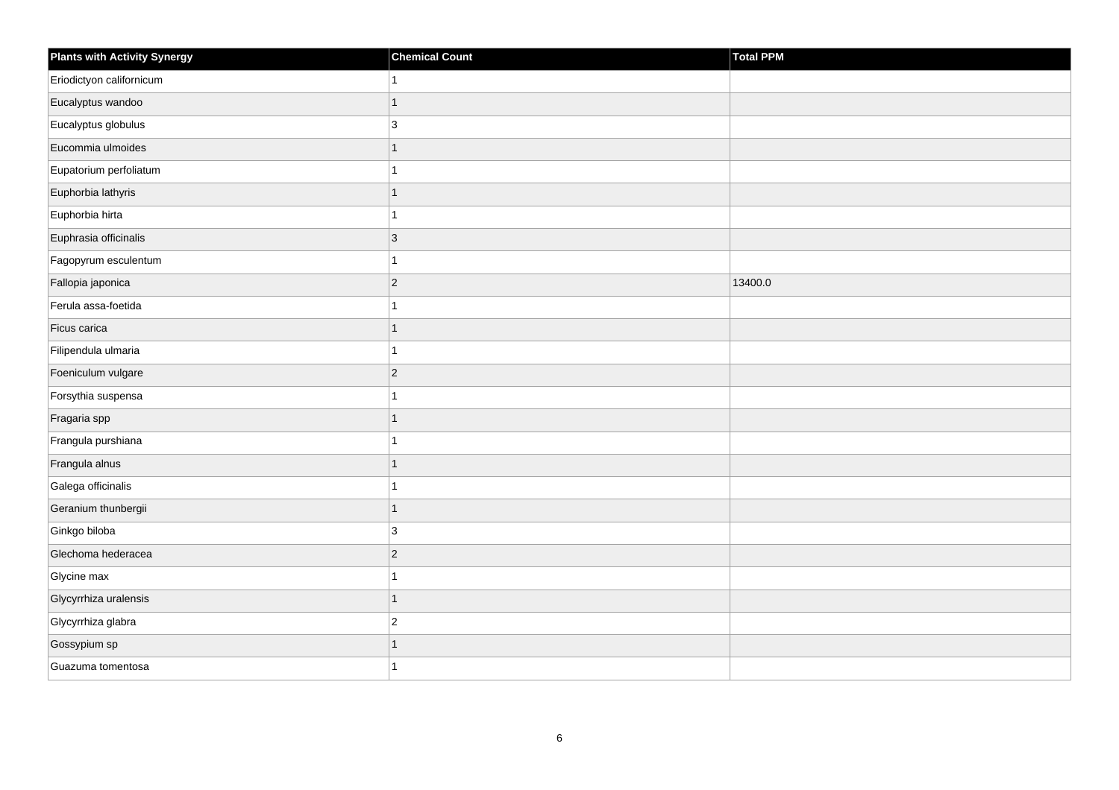| <b>Plants with Activity Synergy</b> | <b>Chemical Count</b> | Total PPM |
|-------------------------------------|-----------------------|-----------|
| Eriodictyon californicum            | 1                     |           |
| Eucalyptus wandoo                   | $\overline{1}$        |           |
| Eucalyptus globulus                 | 3                     |           |
| Eucommia ulmoides                   | $\overline{1}$        |           |
| Eupatorium perfoliatum              | 1                     |           |
| Euphorbia lathyris                  | 1                     |           |
| Euphorbia hirta                     | 1                     |           |
| Euphrasia officinalis               | 3                     |           |
| Fagopyrum esculentum                | 1                     |           |
| Fallopia japonica                   | $\overline{c}$        | 13400.0   |
| Ferula assa-foetida                 | 1                     |           |
| Ficus carica                        | $\overline{1}$        |           |
| Filipendula ulmaria                 | 1                     |           |
| Foeniculum vulgare                  | $\overline{c}$        |           |
| Forsythia suspensa                  | 1                     |           |
| Fragaria spp                        | $\overline{1}$        |           |
| Frangula purshiana                  | 1                     |           |
| Frangula alnus                      | $\overline{1}$        |           |
| Galega officinalis                  | $\overline{1}$        |           |
| Geranium thunbergii                 | $\overline{1}$        |           |
| Ginkgo biloba                       | 3                     |           |
| Glechoma hederacea                  | $\overline{c}$        |           |
| Glycine max                         | 1                     |           |
| Glycyrrhiza uralensis               | $\overline{1}$        |           |
| Glycyrrhiza glabra                  | $\overline{c}$        |           |
| Gossypium sp                        | $\overline{1}$        |           |
| Guazuma tomentosa                   | 1                     |           |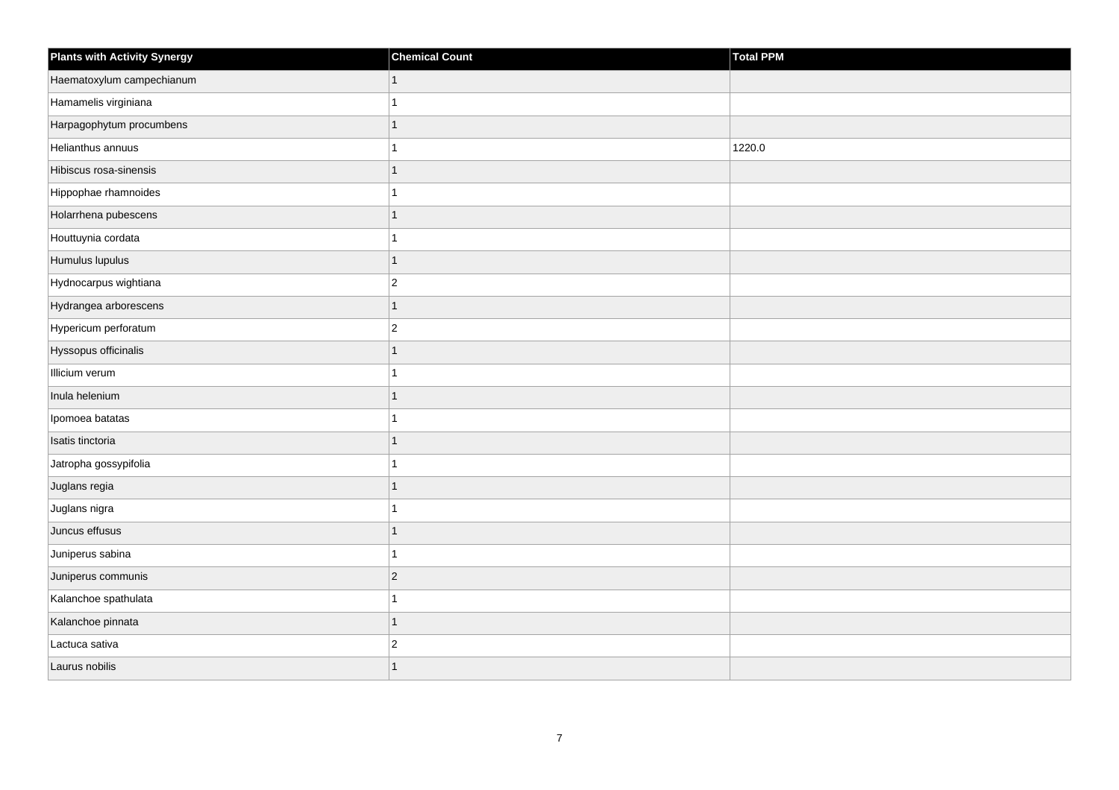| <b>Plants with Activity Synergy</b> | <b>Chemical Count</b> | Total PPM |
|-------------------------------------|-----------------------|-----------|
| Haematoxylum campechianum           |                       |           |
| Hamamelis virginiana                |                       |           |
| Harpagophytum procumbens            |                       |           |
| Helianthus annuus                   |                       | 1220.0    |
| Hibiscus rosa-sinensis              | 1                     |           |
| Hippophae rhamnoides                |                       |           |
| Holarrhena pubescens                | 1                     |           |
| Houttuynia cordata                  |                       |           |
| Humulus lupulus                     | 1                     |           |
| Hydnocarpus wightiana               | $\overline{c}$        |           |
| Hydrangea arborescens               | 1                     |           |
| Hypericum perforatum                | $\overline{2}$        |           |
| Hyssopus officinalis                | 1                     |           |
| Illicium verum                      |                       |           |
| Inula helenium                      |                       |           |
| Ipomoea batatas                     |                       |           |
| Isatis tinctoria                    |                       |           |
| Jatropha gossypifolia               |                       |           |
| Juglans regia                       | 1                     |           |
| Juglans nigra                       |                       |           |
| Juncus effusus                      |                       |           |
| Juniperus sabina                    | 1                     |           |
| Juniperus communis                  | $\overline{2}$        |           |
| Kalanchoe spathulata                |                       |           |
| Kalanchoe pinnata                   | $\overline{1}$        |           |
| Lactuca sativa                      | $\overline{c}$        |           |
| Laurus nobilis                      |                       |           |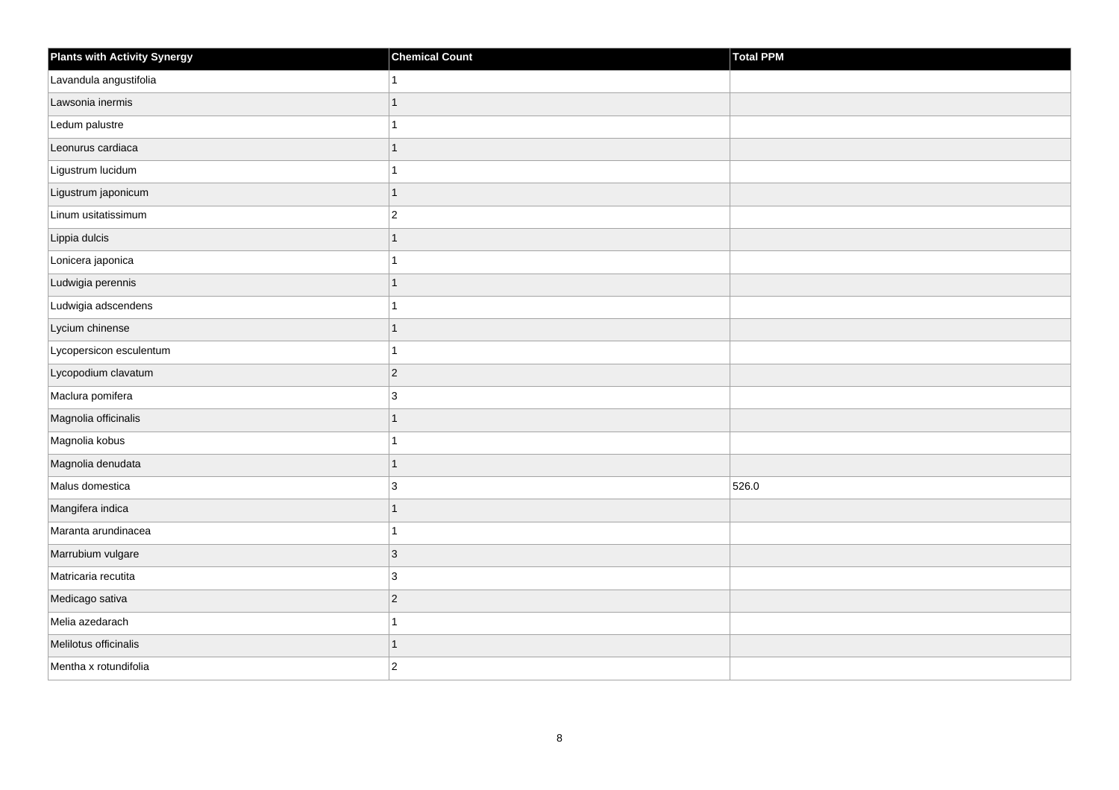| <b>Plants with Activity Synergy</b> | <b>Chemical Count</b> | Total PPM |
|-------------------------------------|-----------------------|-----------|
| Lavandula angustifolia              |                       |           |
| Lawsonia inermis                    | 1                     |           |
| Ledum palustre                      |                       |           |
| Leonurus cardiaca                   | 1                     |           |
| Ligustrum lucidum                   |                       |           |
| Ligustrum japonicum                 | 1                     |           |
| Linum usitatissimum                 | $\overline{2}$        |           |
| Lippia dulcis                       | 1                     |           |
| Lonicera japonica                   |                       |           |
| Ludwigia perennis                   | 1                     |           |
| Ludwigia adscendens                 |                       |           |
| Lycium chinense                     |                       |           |
| Lycopersicon esculentum             | 1                     |           |
| Lycopodium clavatum                 | $\overline{2}$        |           |
| Maclura pomifera                    | 3                     |           |
| Magnolia officinalis                | $\overline{1}$        |           |
| Magnolia kobus                      |                       |           |
| Magnolia denudata                   |                       |           |
| Malus domestica                     | 3                     | 526.0     |
| Mangifera indica                    |                       |           |
| Maranta arundinacea                 |                       |           |
| Marrubium vulgare                   | $\overline{3}$        |           |
| Matricaria recutita                 | 3                     |           |
| Medicago sativa                     | $\overline{c}$        |           |
| Melia azedarach                     | 1                     |           |
| Melilotus officinalis               | 1                     |           |
| Mentha x rotundifolia               | $\overline{2}$        |           |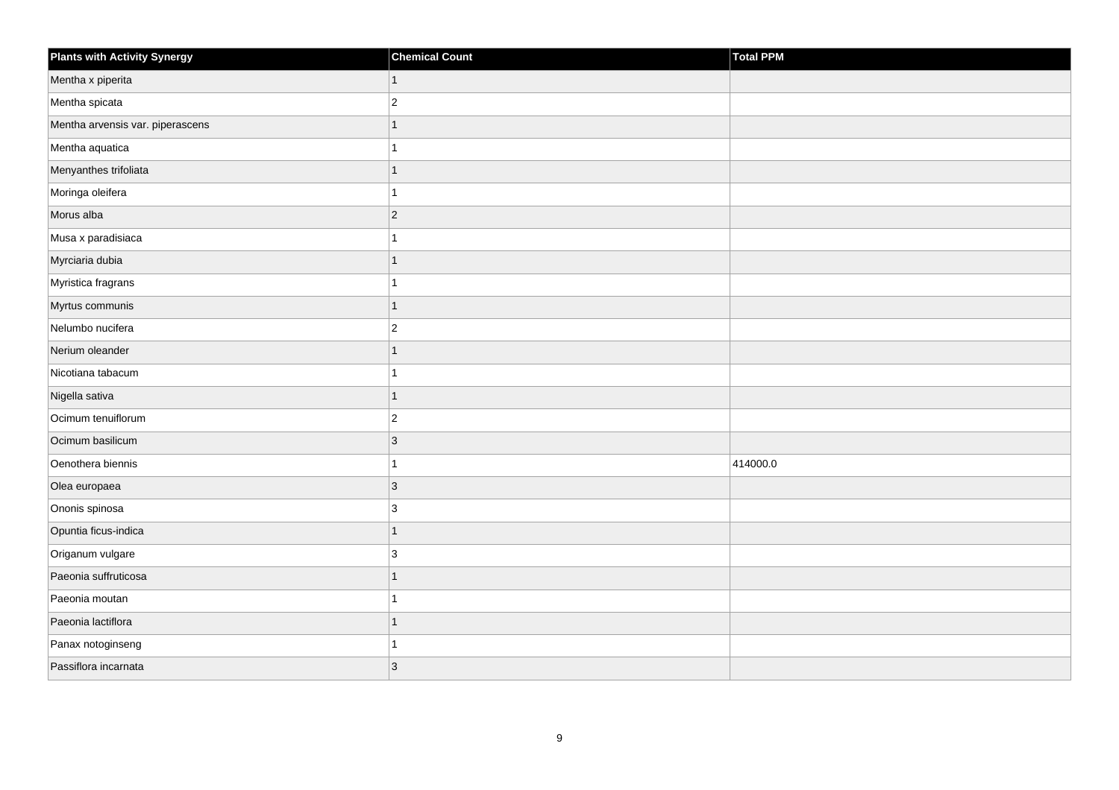| <b>Plants with Activity Synergy</b> | <b>Chemical Count</b> | Total PPM |
|-------------------------------------|-----------------------|-----------|
| Mentha x piperita                   | 1                     |           |
| Mentha spicata                      | $\overline{2}$        |           |
| Mentha arvensis var. piperascens    |                       |           |
| Mentha aquatica                     |                       |           |
| Menyanthes trifoliata               | 1                     |           |
| Moringa oleifera                    |                       |           |
| Morus alba                          | $\overline{2}$        |           |
| Musa x paradisiaca                  |                       |           |
| Myrciaria dubia                     | 1                     |           |
| Myristica fragrans                  |                       |           |
| Myrtus communis                     | 1                     |           |
| Nelumbo nucifera                    | $\overline{2}$        |           |
| Nerium oleander                     | $\overline{1}$        |           |
| Nicotiana tabacum                   |                       |           |
| Nigella sativa                      | 1                     |           |
| Ocimum tenuiflorum                  | $\overline{2}$        |           |
| Ocimum basilicum                    | 3                     |           |
| Oenothera biennis                   |                       | 414000.0  |
| Olea europaea                       | $\overline{3}$        |           |
| Ononis spinosa                      | 3                     |           |
| Opuntia ficus-indica                | 1                     |           |
| Origanum vulgare                    | 3                     |           |
| Paeonia suffruticosa                |                       |           |
| Paeonia moutan                      |                       |           |
| Paeonia lactiflora                  | 1                     |           |
| Panax notoginseng                   |                       |           |
| Passiflora incarnata                | 3                     |           |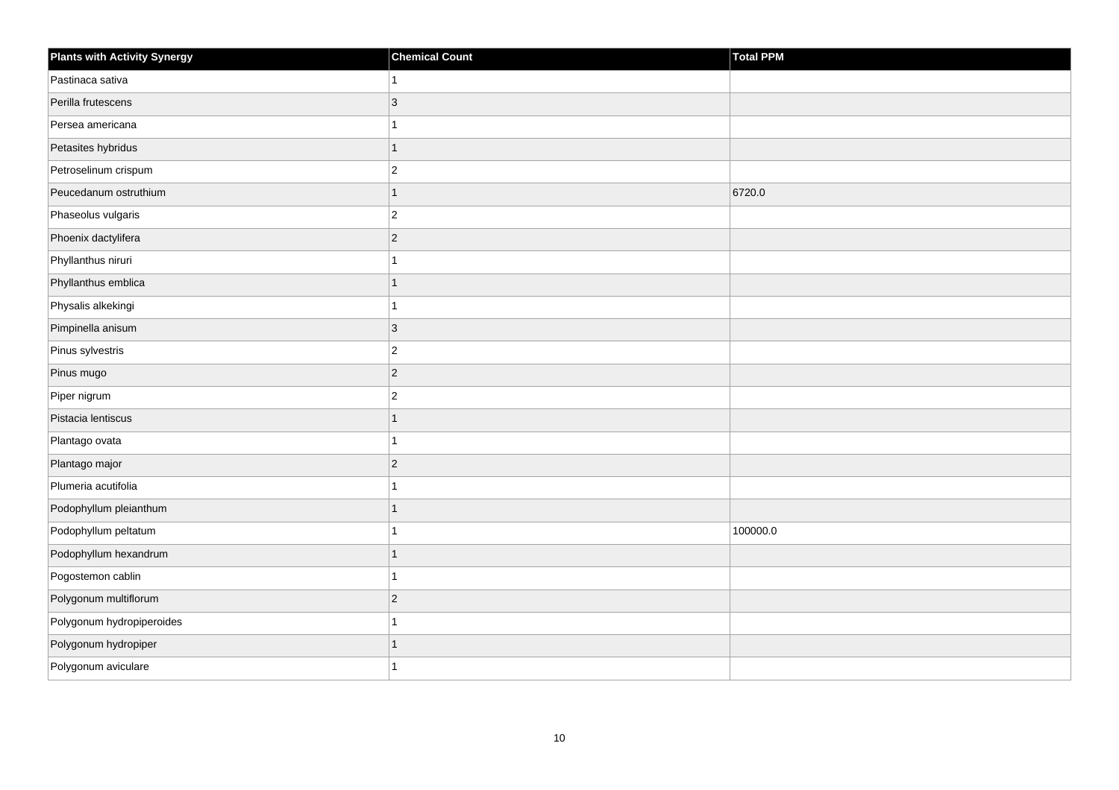| <b>Plants with Activity Synergy</b> | <b>Chemical Count</b> | <b>Total PPM</b> |
|-------------------------------------|-----------------------|------------------|
| Pastinaca sativa                    |                       |                  |
| Perilla frutescens                  | 3                     |                  |
| Persea americana                    |                       |                  |
| Petasites hybridus                  | 1                     |                  |
| Petroselinum crispum                | $\overline{2}$        |                  |
| Peucedanum ostruthium               | 1                     | 6720.0           |
| Phaseolus vulgaris                  | $\overline{2}$        |                  |
| Phoenix dactylifera                 | $\overline{2}$        |                  |
| Phyllanthus niruri                  |                       |                  |
| Phyllanthus emblica                 | 1                     |                  |
| Physalis alkekingi                  |                       |                  |
| Pimpinella anisum                   | 3                     |                  |
| Pinus sylvestris                    | $\overline{c}$        |                  |
| Pinus mugo                          | $\overline{2}$        |                  |
| Piper nigrum                        | $\overline{c}$        |                  |
| Pistacia lentiscus                  | $\overline{1}$        |                  |
| Plantago ovata                      |                       |                  |
| Plantago major                      | $\overline{2}$        |                  |
| Plumeria acutifolia                 | 1                     |                  |
| Podophyllum pleianthum              |                       |                  |
| Podophyllum peltatum                |                       | 100000.0         |
| Podophyllum hexandrum               | $\overline{1}$        |                  |
| Pogostemon cablin                   |                       |                  |
| Polygonum multiflorum               | $\overline{2}$        |                  |
| Polygonum hydropiperoides           | 1                     |                  |
| Polygonum hydropiper                |                       |                  |
| Polygonum aviculare                 |                       |                  |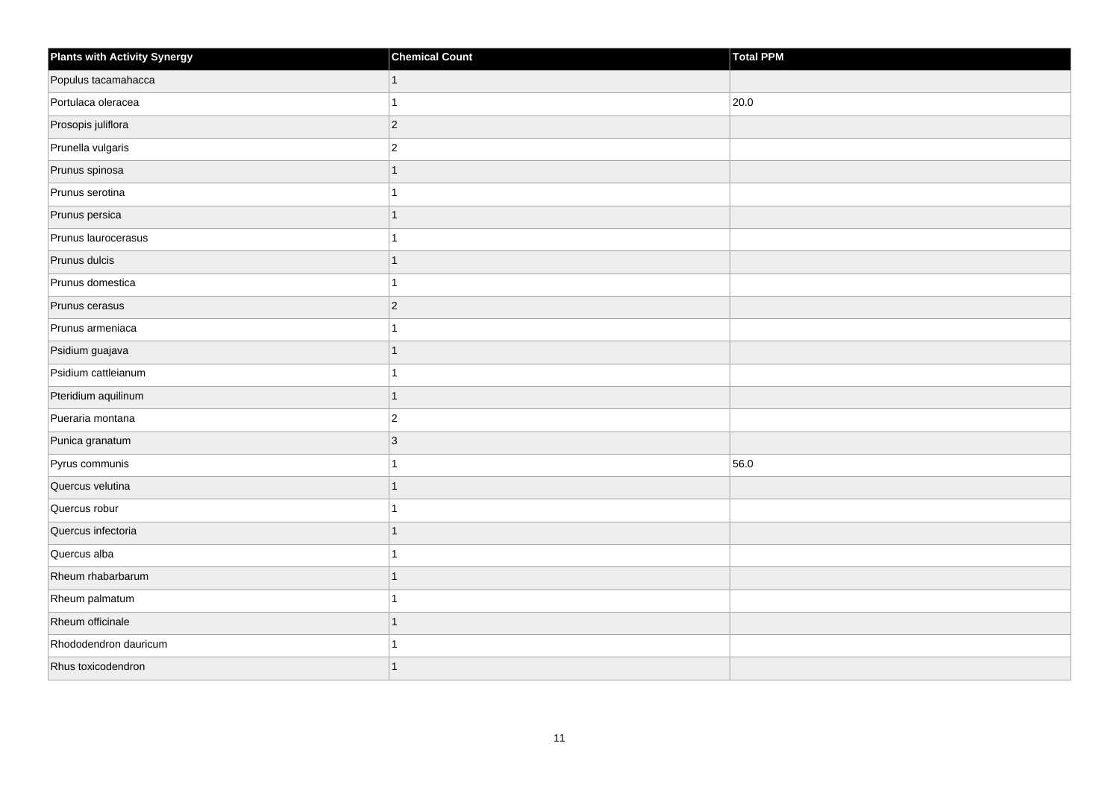| <b>Plants with Activity Synergy</b> | <b>Chemical Count</b> | Total PPM |
|-------------------------------------|-----------------------|-----------|
| Populus tacamahacca                 | 1                     |           |
| Portulaca oleracea                  |                       | 20.0      |
| Prosopis juliflora                  | $\vert$ 2             |           |
| Prunella vulgaris                   | $\overline{2}$        |           |
| Prunus spinosa                      | 1                     |           |
| Prunus serotina                     |                       |           |
| Prunus persica                      | 1                     |           |
| Prunus laurocerasus                 |                       |           |
| Prunus dulcis                       |                       |           |
| Prunus domestica                    |                       |           |
| Prunus cerasus                      | $\overline{2}$        |           |
| Prunus armeniaca                    |                       |           |
| Psidium guajava                     | 1                     |           |
| Psidium cattleianum                 |                       |           |
| Pteridium aquilinum                 | 1                     |           |
| Pueraria montana                    | $\overline{c}$        |           |
| Punica granatum                     | 3                     |           |
| Pyrus communis                      |                       | 56.0      |
| Quercus velutina                    | 1                     |           |
| Quercus robur                       |                       |           |
| Quercus infectoria                  |                       |           |
| Quercus alba                        |                       |           |
| Rheum rhabarbarum                   |                       |           |
| Rheum palmatum                      |                       |           |
| Rheum officinale                    | $\overline{1}$        |           |
| Rhododendron dauricum               |                       |           |
| Rhus toxicodendron                  |                       |           |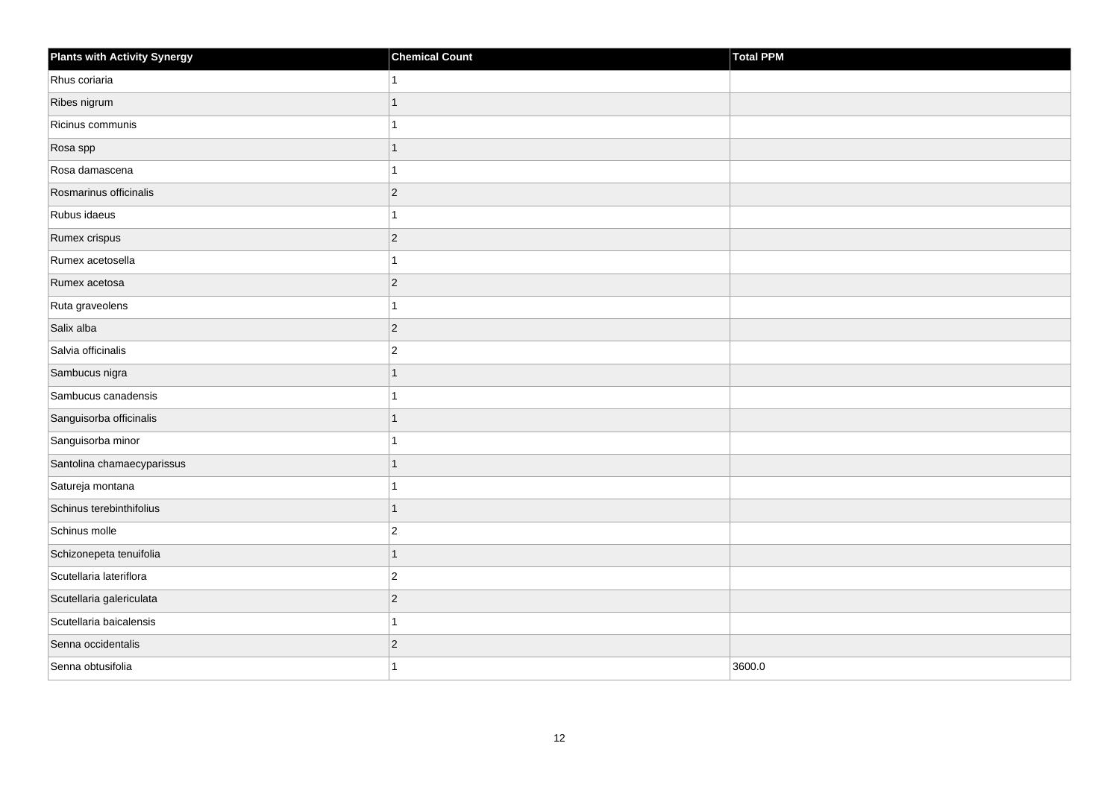| <b>Plants with Activity Synergy</b> | <b>Chemical Count</b> | Total PPM |
|-------------------------------------|-----------------------|-----------|
| Rhus coriaria                       |                       |           |
| Ribes nigrum                        | 1                     |           |
| Ricinus communis                    |                       |           |
| Rosa spp                            |                       |           |
| Rosa damascena                      |                       |           |
| Rosmarinus officinalis              | $ 2\rangle$           |           |
| Rubus idaeus                        |                       |           |
| Rumex crispus                       | $ 2\rangle$           |           |
| Rumex acetosella                    | 1                     |           |
| Rumex acetosa                       | $ 2\rangle$           |           |
| Ruta graveolens                     |                       |           |
| Salix alba                          | $ 2\rangle$           |           |
| Salvia officinalis                  | $\vert$ 2             |           |
| Sambucus nigra                      | 1                     |           |
| Sambucus canadensis                 |                       |           |
| Sanguisorba officinalis             | 1                     |           |
| Sanguisorba minor                   |                       |           |
| Santolina chamaecyparissus          |                       |           |
| Satureja montana                    | 1                     |           |
| Schinus terebinthifolius            |                       |           |
| Schinus molle                       | $\overline{2}$        |           |
| Schizonepeta tenuifolia             | 1                     |           |
| Scutellaria lateriflora             | $\vert$ 2             |           |
| Scutellaria galericulata            | $ 2\rangle$           |           |
| Scutellaria baicalensis             | 1                     |           |
| Senna occidentalis                  | $\vert$ 2             |           |
| Senna obtusifolia                   |                       | 3600.0    |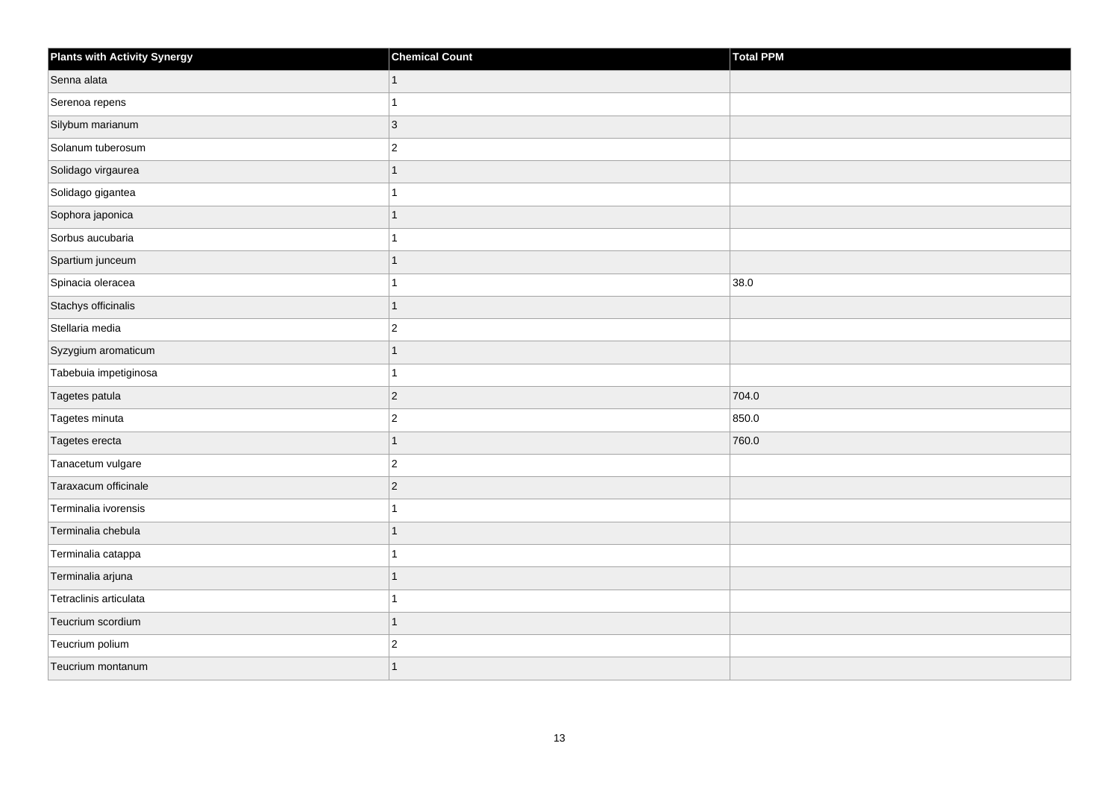| <b>Plants with Activity Synergy</b> | <b>Chemical Count</b> | Total PPM |
|-------------------------------------|-----------------------|-----------|
| Senna alata                         | 1                     |           |
| Serenoa repens                      | 1                     |           |
| Silybum marianum                    | $ 3\rangle$           |           |
| Solanum tuberosum                   | $\overline{2}$        |           |
| Solidago virgaurea                  | 1                     |           |
| Solidago gigantea                   | 1                     |           |
| Sophora japonica                    | 1                     |           |
| Sorbus aucubaria                    | 1                     |           |
| Spartium junceum                    | $\mathbf{1}$          |           |
| Spinacia oleracea                   | 1                     | 38.0      |
| Stachys officinalis                 | 1                     |           |
| Stellaria media                     | $\sqrt{2}$            |           |
| Syzygium aromaticum                 | 1                     |           |
| Tabebuia impetiginosa               | 1                     |           |
| Tagetes patula                      | $ 2\rangle$           | 704.0     |
| Tagetes minuta                      | $\vert$ 2             | 850.0     |
| Tagetes erecta                      | 1                     | 760.0     |
| Tanacetum vulgare                   | $ 2\rangle$           |           |
| Taraxacum officinale                | 2                     |           |
| Terminalia ivorensis                | 1                     |           |
| Terminalia chebula                  | 1                     |           |
| Terminalia catappa                  | 1                     |           |
| Terminalia arjuna                   | 1                     |           |
| Tetraclinis articulata              | 1                     |           |
| Teucrium scordium                   | $\mathbf{1}$          |           |
| Teucrium polium                     | $\overline{c}$        |           |
| Teucrium montanum                   | 1                     |           |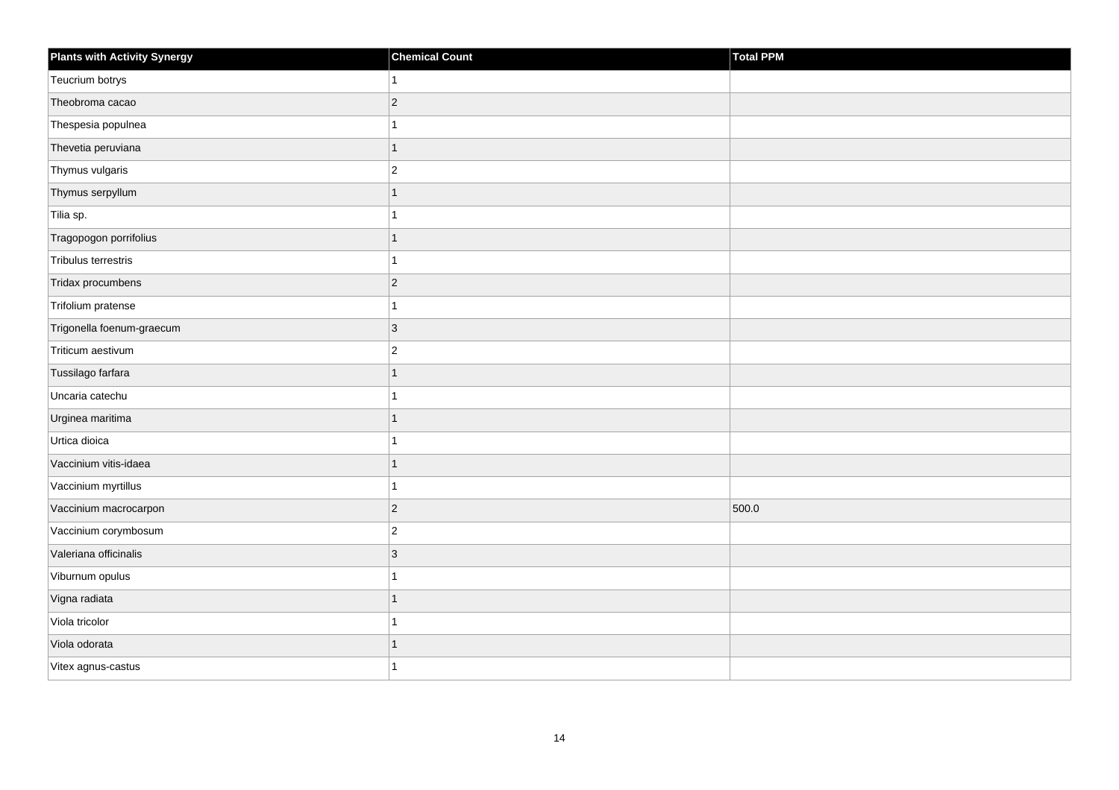| <b>Plants with Activity Synergy</b> | <b>Chemical Count</b> | Total PPM |
|-------------------------------------|-----------------------|-----------|
| Teucrium botrys                     |                       |           |
| Theobroma cacao                     | $\overline{2}$        |           |
| Thespesia populnea                  |                       |           |
| Thevetia peruviana                  | 1                     |           |
| Thymus vulgaris                     | $\overline{2}$        |           |
| Thymus serpyllum                    |                       |           |
| Tilia sp.                           |                       |           |
| Tragopogon porrifolius              | 1                     |           |
| Tribulus terrestris                 |                       |           |
| Tridax procumbens                   | $\overline{2}$        |           |
| Trifolium pratense                  |                       |           |
| Trigonella foenum-graecum           | 3                     |           |
| Triticum aestivum                   | $\overline{c}$        |           |
| Tussilago farfara                   | 1                     |           |
| Uncaria catechu                     |                       |           |
| Urginea maritima                    | 1                     |           |
| Urtica dioica                       |                       |           |
| Vaccinium vitis-idaea               |                       |           |
| Vaccinium myrtillus                 | 1                     |           |
| Vaccinium macrocarpon               | $\overline{2}$        | 500.0     |
| Vaccinium corymbosum                | $\overline{2}$        |           |
| Valeriana officinalis               | $\overline{3}$        |           |
| Viburnum opulus                     |                       |           |
| Vigna radiata                       |                       |           |
| Viola tricolor                      | 1                     |           |
| Viola odorata                       |                       |           |
| Vitex agnus-castus                  |                       |           |